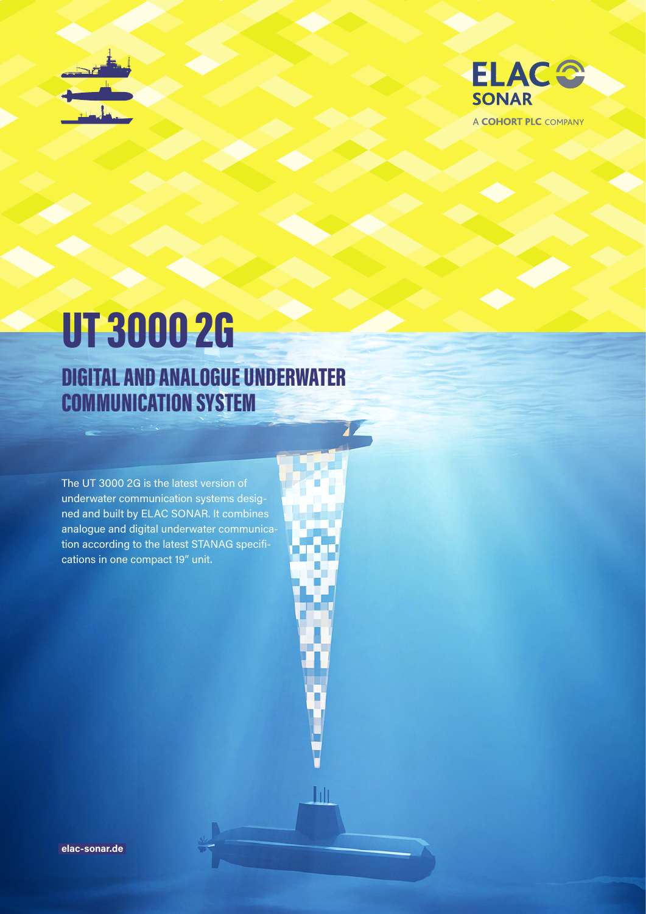



A COHORT PLC COMPANY

# UT 3000 2G DIGITAL AND ANALOGUE UNDERWATER COMMUNICATION SYSTEM

The UT 3000 2G is the latest version of underwater communication systems designed and built by ELAC SONAR. It combines analogue and digital underwater communication according to the latest STANAG specifications in one compact 19" unit.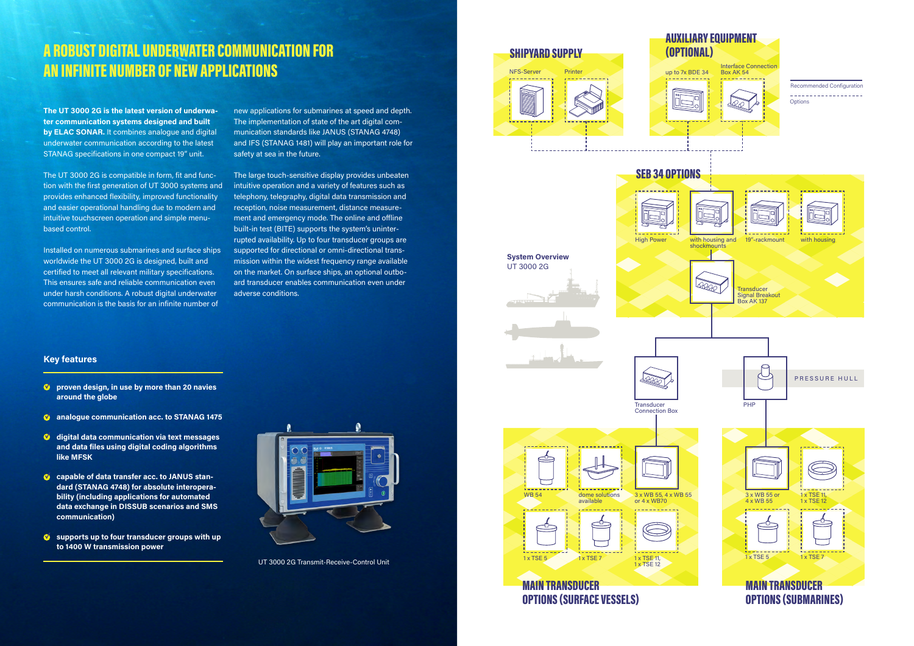# A ROBUST DIGITAL UNDERWATER COMMUNICATION FOR AN INFINITE NUMBER OF NEW APPLICATIONS

- **<sup>** $\bullet$ **</sup>** proven design, in use by more than 20 navies **around the globe**
- $\bullet$  analogue communication acc. to STANAG 1475
- **digital data communication via text messages and data files using digital coding algorithms like MFSK**
- **capable of data transfer acc. to JANUS standard (STANAG 4748) for absolute interoperability (including applications for automated data exchange in DISSUB scenarios and SMS communication)**
- $\bullet$  supports up to four transducer groups with up **to 1400 W transmission power**



## **MAIN TRANSDUCER** OPTIONS (SURFACE VESSELS)

# **Transducer** Connection Box High Power

## **Key features**









1 x TSE 12

1 x TSE 5





**The UT 3000 2G is the latest version of underwater communication systems designed and built by ELAC SONAR.** It combines analogue and digital underwater communication according to the latest STANAG specifications in one compact 19" unit.

The UT 3000 2G is compatible in form, fit and function with the first generation of UT 3000 systems and provides enhanced flexibility, improved functionality and easier operational handling due to modern and intuitive touchscreen operation and simple menubased control.

Installed on numerous submarines and surface ships worldwide the UT 3000 2G is designed, built and certified to meet all relevant military specifications. This ensures safe and reliable communication even under harsh conditions. A robust digital underwater communication is the basis for an infinite number of

new applications for submarines at speed and depth. The implementation of state of the art digital communication standards like JANUS (STANAG 4748) and IFS (STANAG 1481) will play an important role for safety at sea in the future.

The large touch-sensitive display provides unbeaten intuitive operation and a variety of features such as telephony, telegraphy, digital data transmission and reception, noise measurement, distance measurement and emergency mode. The online and offline built-in test (BITE) supports the system's uninterrupted availability. Up to four transducer groups are supported for directional or omni-directional transmission within the widest frequency range available on the market. On surface ships, an optional outboard transducer enables communication even under adverse conditions.

UT 3000 2G Transmit-Receive-Control Unit

**System Overview** UT 3000 2G